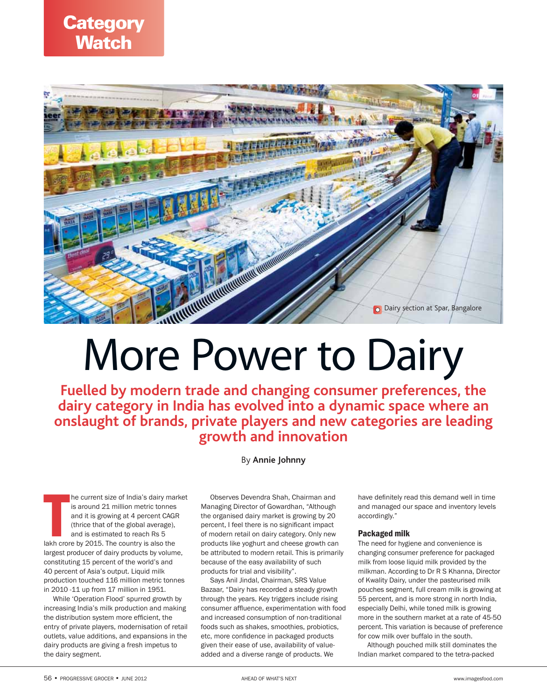



# More Power to Dairy

**Fuelled by modern trade and changing consumer preferences, the dairy category in India has evolved into a dynamic space where an onslaught of brands, private players and new categories are leading growth and innovation**

By **Annie Johnny**

he current size of India's dairy main<br>is around 21 million metric tonnes<br>and it is growing at 4 percent CAGE<br>(thrice that of the global average),<br>and is estimated to reach Rs 5<br>lakh crore by 2015. The country is also the he current size of India's dairy market is around 21 million metric tonnes and it is growing at 4 percent CAGR (thrice that of the global average), and is estimated to reach Rs 5 largest producer of dairy products by volume, constituting 15 percent of the world's and 40 percent of Asia's output. Liquid milk production touched 116 million metric tonnes in 2010 -11 up from 17 million in 1951.

While 'Operation Flood' spurred growth by increasing India's milk production and making the distribution system more efficient, the entry of private players, modernisation of retail outlets, value additions, and expansions in the dairy products are giving a fresh impetus to the dairy segment.

Observes Devendra Shah, Chairman and Managing Director of Gowardhan, "Although the organised dairy market is growing by 20 percent, I feel there is no significant impact of modern retail on dairy category. Only new products like yoghurt and cheese growth can be attributed to modern retail. This is primarily because of the easy availability of such products for trial and visibility".

Says Anil Jindal, Chairman, SRS Value Bazaar, "Dairy has recorded a steady growth through the years. Key triggers include rising consumer affluence, experimentation with food and increased consumption of non-traditional foods such as shakes, smoothies, probiotics, etc, more confidence in packaged products given their ease of use, availability of valueadded and a diverse range of products. We

have definitely read this demand well in time and managed our space and inventory levels accordingly."

#### Packaged milk

The need for hygiene and convenience is changing consumer preference for packaged milk from loose liquid milk provided by the milkman. According to Dr R S Khanna, Director of Kwality Dairy, under the pasteurised milk pouches segment, full cream milk is growing at 55 percent, and is more strong in north India, especially Delhi, while toned milk is growing more in the southern market at a rate of 45-50 percent. This variation is because of preference for cow milk over buffalo in the south.

Although pouched milk still dominates the Indian market compared to the tetra-packed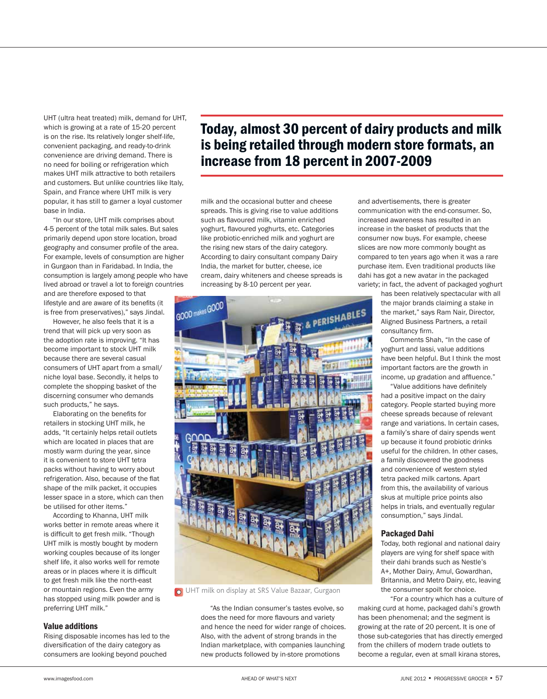UHT (ultra heat treated) milk, demand for UHT, which is growing at a rate of 15-20 percent is on the rise. Its relatively longer shelf-life, convenient packaging, and ready-to-drink convenience are driving demand. There is no need for boiling or refrigeration which makes UHT milk attractive to both retailers and customers. But unlike countries like Italy, Spain, and France where UHT milk is very popular, it has still to garner a loyal customer base in India.

"In our store, UHT milk comprises about 4-5 percent of the total milk sales. But sales primarily depend upon store location, broad geography and consumer profile of the area. For example, levels of consumption are higher in Gurgaon than in Faridabad. In India, the consumption is largely among people who have lived abroad or travel a lot to foreign countries and are therefore exposed to that

lifestyle and are aware of its benefits (it is free from preservatives)," says Jindal.

However, he also feels that it is a trend that will pick up very soon as the adoption rate is improving. "It has become important to stock UHT milk because there are several casual consumers of UHT apart from a small/ niche loyal base. Secondly, it helps to complete the shopping basket of the discerning consumer who demands such products," he says.

Elaborating on the benefits for retailers in stocking UHT milk, he adds, "It certainly helps retail outlets which are located in places that are mostly warm during the year, since it is convenient to store UHT tetra packs without having to worry about refrigeration. Also, because of the flat shape of the milk packet, it occupies lesser space in a store, which can then be utilised for other items."

According to Khanna, UHT milk works better in remote areas where it is difficult to get fresh milk. "Though UHT milk is mostly bought by modern working couples because of its longer shelf life, it also works well for remote areas or in places where it is difficult to get fresh milk like the north-east or mountain regions. Even the army has stopped using milk powder and is preferring UHT milk."

#### Value additions

Rising disposable incomes has led to the diversification of the dairy category as consumers are looking beyond pouched

## Today, almost 30 percent of dairy products and milk is being retailed through modern store formats, an increase from 18 percent in 2007-2009

milk and the occasional butter and cheese spreads. This is giving rise to value additions such as flavoured milk, vitamin enriched yoghurt, flavoured yoghurts, etc. Categories like probiotic-enriched milk and yoghurt are the rising new stars of the dairy category. According to dairy consultant company Dairy India, the market for butter, cheese, ice cream, dairy whiteners and cheese spreads is increasing by 8-10 percent per year.



**O** UHT milk on display at SRS Value Bazaar, Gurgaon

"As the Indian consumer's tastes evolve, so does the need for more flavours and variety and hence the need for wider range of choices. Also, with the advent of strong brands in the Indian marketplace, with companies launching new products followed by in-store promotions

and advertisements, there is greater communication with the end-consumer. So, increased awareness has resulted in an increase in the basket of products that the consumer now buys. For example, cheese slices are now more commonly bought as compared to ten years ago when it was a rare purchase item. Even traditional products like dahi has got a new avatar in the packaged variety; in fact, the advent of packaged yoghurt

> has been relatively spectacular with all the major brands claiming a stake in the market," says Ram Nair, Director, Aligned Business Partners, a retail consultancy firm.

> Comments Shah, "In the case of yoghurt and lassi, value additions have been helpful. But I think the most important factors are the growth in income, up gradation and affluence."

"Value additions have definitely had a positive impact on the dairy category. People started buying more cheese spreads because of relevant range and variations. In certain cases, a family's share of dairy spends went up because it found probiotic drinks useful for the children. In other cases, a family discovered the goodness and convenience of western styled tetra packed milk cartons. Apart from this, the availability of various skus at multiple price points also helps in trials, and eventually regular consumption," says Jindal.

#### Packaged Dahi

Today, both regional and national dairy players are vying for shelf space with their dahi brands such as Nestle's A+, Mother Dairy, Amul, Gowardhan, Britannia, and Metro Dairy, etc, leaving the consumer spoilt for choice.

"For a country which has a culture of making curd at home, packaged dahi's growth has been phenomenal; and the segment is growing at the rate of 20 percent. It is one of those sub-categories that has directly emerged from the chillers of modern trade outlets to become a regular, even at small kirana stores,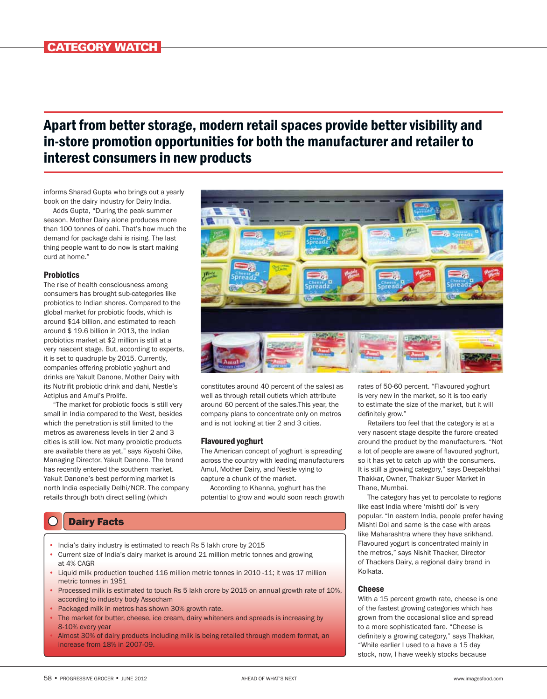## Apart from better storage, modern retail spaces provide better visibility and in-store promotion opportunities for both the manufacturer and retailer to interest consumers in new products

informs Sharad Gupta who brings out a yearly book on the dairy industry for Dairy India.

Adds Gupta, "During the peak summer season, Mother Dairy alone produces more than 100 tonnes of dahi. That's how much the demand for package dahi is rising. The last thing people want to do now is start making curd at home."

#### **Probiotics**

The rise of health consciousness among consumers has brought sub-categories like probiotics to Indian shores. Compared to the global market for probiotic foods, which is around \$14 billion, and estimated to reach around \$ 19.6 billion in 2013, the Indian probiotics market at \$2 million is still at a very nascent stage. But, according to experts, it is set to quadruple by 2015. Currently, companies offering probiotic yoghurt and drinks are Yakult Danone, Mother Dairy with its Nutrifit probiotic drink and dahi, Nestle's Actiplus and Amul's Prolife.

"The market for probiotic foods is still very small in India compared to the West, besides which the penetration is still limited to the metros as awareness levels in tier 2 and 3 cities is still low. Not many probiotic products are available there as yet," says Kiyoshi Oike, Managing Director, Yakult Danone. The brand has recently entered the southern market. Yakult Danone's best performing market is north India especially Delhi/NCR. The company retails through both direct selling (which



constitutes around 40 percent of the sales) as well as through retail outlets which attribute around 60 percent of the sales.This year, the company plans to concentrate only on metros and is not looking at tier 2 and 3 cities.

#### Flavoured yoghurt

The American concept of yoghurt is spreading across the country with leading manufacturers Amul, Mother Dairy, and Nestle vying to capture a chunk of the market.

According to Khanna, yoghurt has the potential to grow and would soon reach growth

### Dairy Facts

- India's dairy industry is estimated to reach Rs 5 lakh crore by 2015
- Current size of India's dairy market is around 21 million metric tonnes and growing at 4% CAGR
- Liquid milk production touched 116 million metric tonnes in 2010 -11; it was 17 million metric tonnes in 1951
- Processed milk is estimated to touch Rs 5 lakh crore by 2015 on annual growth rate of 10%, according to industry body Assocham
- Packaged milk in metros has shown 30% growth rate.
- The market for butter, cheese, ice cream, dairy whiteners and spreads is increasing by 8-10% every year
- Almost 30% of dairy products including milk is being retailed through modern format, an increase from 18% in 2007-09.

rates of 50-60 percent. "Flavoured yoghurt is very new in the market, so it is too early to estimate the size of the market, but it will definitely grow."

Retailers too feel that the category is at a very nascent stage despite the furore created around the product by the manufacturers. "Not a lot of people are aware of flavoured yoghurt, so it has yet to catch up with the consumers. It is still a growing category," says Deepakbhai Thakkar, Owner, Thakkar Super Market in Thane, Mumbai.

The category has yet to percolate to regions like east India where 'mishti doi' is very popular. "In eastern India, people prefer having Mishti Doi and same is the case with areas like Maharashtra where they have srikhand. Flavoured yogurt is concentrated mainly in the metros," says Nishit Thacker, Director of Thackers Dairy, a regional dairy brand in Kolkata.

#### Cheese

With a 15 percent growth rate, cheese is one of the fastest growing categories which has grown from the occasional slice and spread to a more sophisticated fare. "Cheese is definitely a growing category," says Thakkar, "While earlier I used to a have a 15 day stock, now, I have weekly stocks because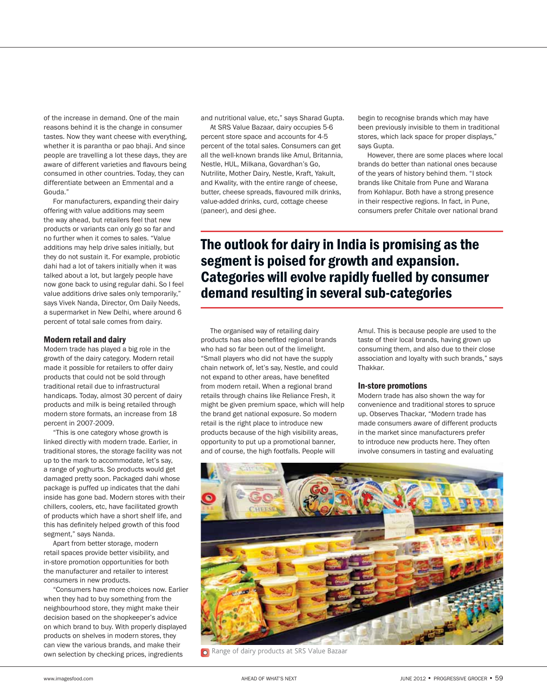of the increase in demand. One of the main reasons behind it is the change in consumer tastes. Now they want cheese with everything, whether it is parantha or pao bhaji. And since people are travelling a lot these days, they are aware of different varieties and flavours being consumed in other countries. Today, they can differentiate between an Emmental and a Gouda."

For manufacturers, expanding their dairy offering with value additions may seem the way ahead, but retailers feel that new products or variants can only go so far and no further when it comes to sales. "Value additions may help drive sales initially, but they do not sustain it. For example, probiotic dahi had a lot of takers initially when it was talked about a lot, but largely people have now gone back to using regular dahi. So I feel value additions drive sales only temporarily," says Vivek Nanda, Director, Om Daily Needs, a supermarket in New Delhi, where around 6 percent of total sale comes from dairy.

#### Modern retail and dairy

Modern trade has played a big role in the growth of the dairy category. Modern retail made it possible for retailers to offer dairy products that could not be sold through traditional retail due to infrastructural handicaps. Today, almost 30 percent of dairy products and milk is being retailed through modern store formats, an increase from 18 percent in 2007-2009.

"This is one category whose growth is linked directly with modern trade. Earlier, in traditional stores, the storage facility was not up to the mark to accommodate, let's say, a range of yoghurts. So products would get damaged pretty soon. Packaged dahi whose package is puffed up indicates that the dahi inside has gone bad. Modern stores with their chillers, coolers, etc, have facilitated growth of products which have a short shelf life, and this has definitely helped growth of this food segment," says Nanda.

Apart from better storage, modern retail spaces provide better visibility, and in-store promotion opportunities for both the manufacturer and retailer to interest consumers in new products.

"Consumers have more choices now. Earlier when they had to buy something from the neighbourhood store, they might make their decision based on the shopkeeper's advice on which brand to buy. With properly displayed products on shelves in modern stores, they can view the various brands, and make their own selection by checking prices, ingredients

and nutritional value, etc," says Sharad Gupta.

At SRS Value Bazaar, dairy occupies 5-6 percent store space and accounts for 4-5 percent of the total sales. Consumers can get all the well-known brands like Amul, Britannia, Nestle, HUL, Milkana, Govardhan's Go, Nutrilite, Mother Dairy, Nestle, Kraft, Yakult, and Kwality, with the entire range of cheese, butter, cheese spreads, flavoured milk drinks, value-added drinks, curd, cottage cheese (paneer), and desi ghee.

begin to recognise brands which may have been previously invisible to them in traditional stores, which lack space for proper displays," says Gupta.

However, there are some places where local brands do better than national ones because of the years of history behind them. "I stock brands like Chitale from Pune and Warana from Kohlapur. Both have a strong presence in their respective regions. In fact, in Pune, consumers prefer Chitale over national brand

## The outlook for dairy in India is promising as the segment is poised for growth and expansion. Categories will evolve rapidly fuelled by consumer demand resulting in several sub-categories

The organised way of retailing dairy products has also benefited regional brands who had so far been out of the limelight. "Small players who did not have the supply chain network of, let's say, Nestle, and could not expand to other areas, have benefited from modern retail. When a regional brand retails through chains like Reliance Fresh, it might be given premium space, which will help the brand get national exposure. So modern retail is the right place to introduce new products because of the high visibility areas, opportunity to put up a promotional banner, and of course, the high footfalls. People will

Amul. This is because people are used to the taste of their local brands, having grown up consuming them, and also due to their close association and loyalty with such brands," says Thakkar.

#### In-store promotions

Modern trade has also shown the way for convenience and traditional stores to spruce up. Observes Thackar, "Modern trade has made consumers aware of different products in the market since manufacturers prefer to introduce new products here. They often involve consumers in tasting and evaluating



Range of dairy products at SRS Value Bazaar